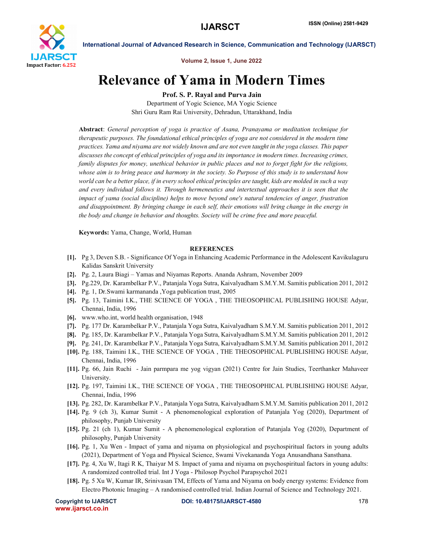

International Journal of Advanced Research in Science, Communication and Technology (IJARSCT)

Volume 2, Issue 1, June 2022

## Relevance of Yama in Modern Times

Prof. S. P. Rayal and Purva Jain

Department of Yogic Science, MA Yogic Science Shri Guru Ram Rai University, Dehradun, Uttarakhand, India

Abstract: *General perception of yoga is practice of Asana, Pranayama or meditation technique for therapeutic purposes. The foundational ethical principles of yoga are not considered in the modern time practices. Yama and niyama are not widely known and are not even taught in the yoga classes. This paper discusses the concept of ethical principles of yoga and its importance in modern times. Increasing crimes, family disputes for money, unethical behavior in public places and not to forget fight for the religions, whose aim is to bring peace and harmony in the society. So Purpose of this study is to understand how world can be a better place, if in every school ethical principles are taught, kids are molded in such a way and every individual follows it. Through hermeneutics and intertextual approaches it is seen that the impact of yama (social discipline) helps to move beyond one's natural tendencies of anger, frustration and disappointment. By bringing change in each self, their emotions will bring change in the energy in the body and change in behavior and thoughts. Society will be crime free and more peaceful.*

Keywords: Yama, Change, World, Human

## **REFERENCES**

- [1]. Pg 3, Deven S.B. Significance Of Yoga in Enhancing Academic Performance in the Adolescent Kavikulaguru Kalidas Sanskrit University
- [2]. Pg. 2, Laura Biagi Yamas and Niyamas Reports. Ananda Ashram, November 2009
- [3]. Pg.229, Dr. Karambelkar P.V., Patanjala Yoga Sutra, Kaivalyadham S.M.Y.M. Samitis publication 2011, 2012
- [4]. Pg. 1, Dr.Swami karmananda ,Yoga publication trust, 2005
- [5]. Pg. 13, Taimini I.K., THE SCIENCE OF YOGA , THE THEOSOPHICAL PUBLISHING HOUSE Adyar, Chennai, India, 1996
- [6]. www.who.int, world health organisation, 1948
- [7]. Pg. 177 Dr. Karambelkar P.V., Patanjala Yoga Sutra, Kaivalyadham S.M.Y.M. Samitis publication 2011, 2012
- [8]. Pg. 185, Dr. Karambelkar P.V., Patanjala Yoga Sutra, Kaivalyadham S.M.Y.M. Samitis publication 2011, 2012
- [9]. Pg. 241, Dr. Karambelkar P.V., Patanjala Yoga Sutra, Kaivalyadham S.M.Y.M. Samitis publication 2011, 2012
- [10]. Pg. 188, Taimini I.K., THE SCIENCE OF YOGA , THE THEOSOPHICAL PUBLISHING HOUSE Adyar, Chennai, India, 1996
- [11]. Pg. 66, Jain Ruchi Jain parmpara me yog vigyan (2021) Centre for Jain Studies, Teerthanker Mahaveer University.
- [12]. Pg. 197, Taimini I.K., THE SCIENCE OF YOGA , THE THEOSOPHICAL PUBLISHING HOUSE Adyar, Chennai, India, 1996
- [13]. Pg. 282, Dr. Karambelkar P.V., Patanjala Yoga Sutra, Kaivalyadham S.M.Y.M. Samitis publication 2011, 2012
- [14]. Pg. 9 (ch 3), Kumar Sumit A phenomenological exploration of Patanjala Yog (2020), Department of philosophy, Punjab University
- [15]. Pg. 21 (ch 1), Kumar Sumit A phenomenological exploration of Patanjala Yog (2020), Department of philosophy, Punjab University
- [16]. Pg. 1, Xu Wen Impact of yama and niyama on physiological and psychospiritual factors in young adults (2021), Department of Yoga and Physical Science, Swami Vivekananda Yoga Anusandhana Sansthana.
- [17]. Pg. 4, Xu W, Itagi R K, Thaiyar M S. Impact of yama and niyama on psychospiritual factors in young adults: A randomized controlled trial. Int J Yoga - Philosop Psychol Parapsychol 2021
- [18]. Pg. 5 Xu W, Kumar IR, Srinivasan TM, Effects of Yama and Niyama on body energy systems: Evidence from Electro Photonic Imaging – A randomised controlled trial. Indian Journal of Science and Technology 2021.